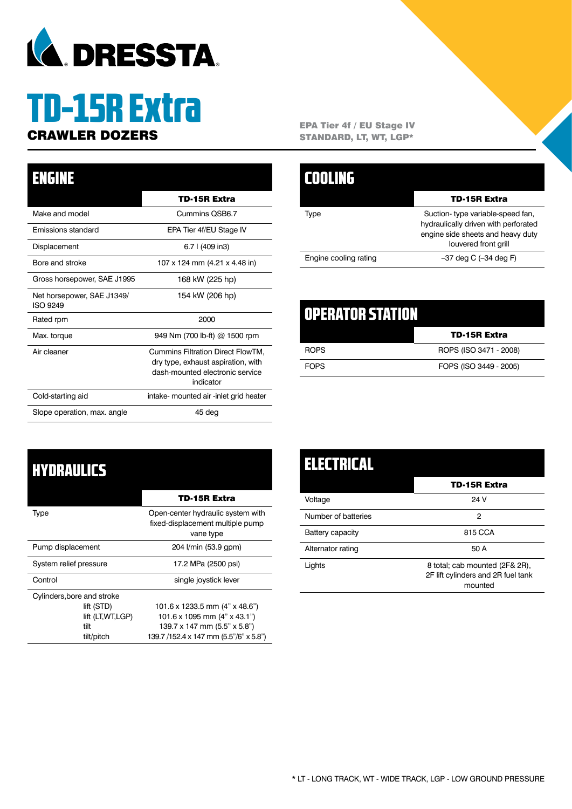

# TD-15R Extra

### TD-15R Extra Make and model Cummins QSB6.7 Emissions standard EPA Tier 4f/EU Stage IV Displacement 6.7 l (409 in3) Bore and stroke 107 x 124 mm (4.21 x 4.48 in) Gross horsepower, SAE J1995 168 kW (225 hp) Net horsepower, SAE J1349/ ISO 9249 154 kW (206 hp) Rated rpm 2000 ENGINE

Max. torque 949 Nm (700 lb-ft) @ 1500 rpm Air cleaner Cummins Filtration Direct FlowTM,

Cold-starting aid intake- mounted air -inlet grid heater

Slope operation, max. angle 45 deg

dry type, exhaust aspiration, with dash-mounted electronic service indicator

**CRAWLER DOZERS** EPA Tier 4f / EU Stage IV STANDARD, LT, WT, LGP\*

|                       | TD-15R Extra                                                                                                                          |
|-----------------------|---------------------------------------------------------------------------------------------------------------------------------------|
| Tvpe                  | Suction-type variable-speed fan,<br>hydraulically driven with perforated<br>engine side sheets and heavy duty<br>louvered front grill |
| Engine cooling rating | $-37$ deg C $(-34$ deg F)                                                                                                             |

| OPERATOR STATION |                        |
|------------------|------------------------|
|                  | <b>TD-15R Extra</b>    |
| <b>ROPS</b>      | ROPS (ISO 3471 - 2008) |
| <b>FOPS</b>      | FOPS (ISO 3449 - 2005) |

### **HYDRAULICS**

|                            | <b>TD-15R Extra</b>                                                                |  |  |
|----------------------------|------------------------------------------------------------------------------------|--|--|
| Type                       | Open-center hydraulic system with<br>fixed-displacement multiple pump<br>vane type |  |  |
| Pump displacement          | 204 l/min (53.9 gpm)                                                               |  |  |
| System relief pressure     | 17.2 MPa (2500 psi)                                                                |  |  |
| Control                    | single joystick lever                                                              |  |  |
| Cylinders, bore and stroke |                                                                                    |  |  |
| lift (STD)                 | 101.6 x 1233.5 mm $(4" \times 48.6")$                                              |  |  |
| lift (LT, WT, LGP)         | 101.6 x 1095 mm $(4" \times 43.1")$                                                |  |  |
| tilt                       | $139.7 \times 147$ mm (5.5" $\times$ 5.8")                                         |  |  |
| tilt/pitch                 | 139.7 /152.4 x 147 mm (5.5"/6" x 5.8")                                             |  |  |

| ELECTRICAL          |                                                                                 |
|---------------------|---------------------------------------------------------------------------------|
|                     | <b>TD-15R Extra</b>                                                             |
| Voltage             | 24 V                                                                            |
| Number of batteries | 2                                                                               |
| Battery capacity    | 815 CCA                                                                         |
| Alternator rating   | 50 A                                                                            |
| Lights              | 8 total; cab mounted (2F& 2R),<br>2F lift cylinders and 2R fuel tank<br>mounted |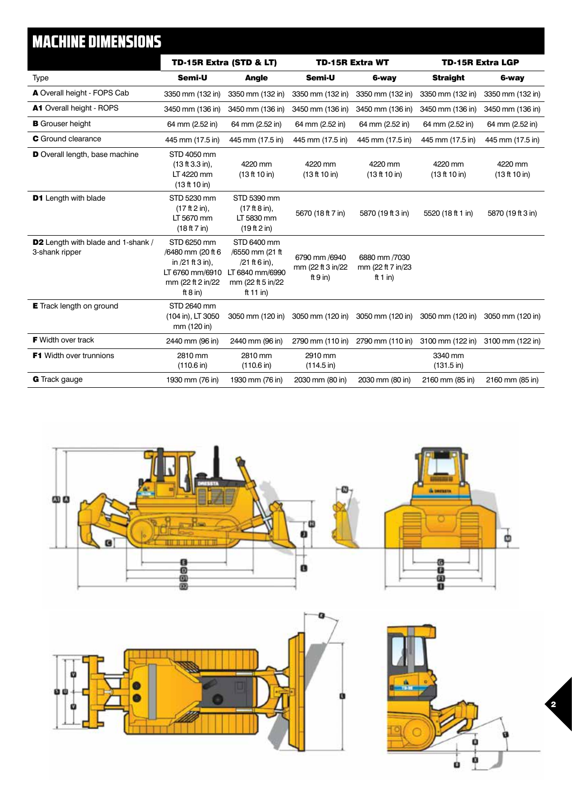### MACHINE DIMENSIONS

|                                                             | TD-15R Extra (STD & LT)                                                                                    |                                                                                                        | <b>TD-15R Extra WT</b>                           |                                                | <b>TD-15R Extra LGP</b>         |                          |
|-------------------------------------------------------------|------------------------------------------------------------------------------------------------------------|--------------------------------------------------------------------------------------------------------|--------------------------------------------------|------------------------------------------------|---------------------------------|--------------------------|
| <b>Type</b>                                                 | Semi-U                                                                                                     | <b>Angle</b>                                                                                           | Semi-U                                           | 6-way                                          | <b>Straight</b>                 | 6-way                    |
| A Overall height - FOPS Cab                                 | 3350 mm (132 in)                                                                                           | 3350 mm (132 in)                                                                                       | 3350 mm (132 in)                                 | 3350 mm (132 in)                               | 3350 mm (132 in)                | 3350 mm (132 in)         |
| A1 Overall height - ROPS                                    | 3450 mm (136 in)                                                                                           | 3450 mm (136 in)                                                                                       | 3450 mm (136 in)                                 | 3450 mm (136 in)                               | 3450 mm (136 in)                | 3450 mm (136 in)         |
| <b>B</b> Grouser height                                     | 64 mm (2.52 in)                                                                                            | 64 mm (2.52 in)                                                                                        | 64 mm (2.52 in)                                  | 64 mm (2.52 in)                                | 64 mm (2.52 in)                 | 64 mm (2.52 in)          |
| <b>C</b> Ground clearance                                   | 445 mm (17.5 in)                                                                                           | 445 mm (17.5 in)                                                                                       | 445 mm (17.5 in)                                 | 445 mm (17.5 in)                               | 445 mm (17.5 in)                | 445 mm (17.5 in)         |
| D Overall length, base machine                              | STD 4050 mm<br>$(13 ft 3.3 in)$ ,<br>LT 4220 mm<br>(13 ft 10 in)                                           | 4220 mm<br>(13 ft 10 in)                                                                               | 4220 mm<br>(13 ft 10 in)                         | 4220 mm<br>(13 ft 10 in)                       | 4220 mm<br>(13 ft 10 in)        | 4220 mm<br>(13 ft 10 in) |
| <b>D1</b> Length with blade                                 | STD 5230 mm<br>$(17 ft 2 in)$ ,<br>LT 5670 mm<br>(18 ft 7 in)                                              | STD 5390 mm<br>$(17 ft 8 in)$ ,<br>LT 5830 mm<br>(19 ft 2 in)                                          | 5670 (18 ft 7 in)                                | 5870 (19 ft 3 in)                              | 5520 (18 ft 1 in)               | 5870 (19 ft 3 in)        |
| <b>D2</b> Length with blade and 1-shank /<br>3-shank ripper | STD 6250 mm<br>/6480 mm (20 ft 6<br>in /21 ft 3 in),<br>LT 6760 mm/6910<br>mm (22 ft 2 in/22<br>ft $8$ in) | STD 6400 mm<br>/6550 mm (21 ft<br>$/21$ ft 6 in),<br>LT 6840 mm/6990<br>mm (22 ft 5 in/22<br>ft 11 in) | 6790 mm /6940<br>mm (22 ft 3 in/22<br>ft $9$ in) | 6880 mm /7030<br>mm (22 ft 7 in/23<br>ft 1 in) |                                 |                          |
| <b>E</b> Track length on ground                             | STD 2640 mm<br>(104 in), LT 3050<br>mm (120 in)                                                            | 3050 mm (120 in)                                                                                       | 3050 mm (120 in)                                 | 3050 mm (120 in)                               | 3050 mm (120 in)                | 3050 mm (120 in)         |
| <b>F</b> Width over track                                   | 2440 mm (96 in)                                                                                            | 2440 mm (96 in)                                                                                        | 2790 mm (110 in)                                 | 2790 mm (110 in)                               | 3100 mm (122 in)                | 3100 mm (122 in)         |
| <b>F1</b> Width over trunnions                              | 2810 mm<br>$(110.6 \text{ in})$                                                                            | 2810 mm<br>$(110.6 \text{ in})$                                                                        | 2910 mm<br>$(114.5 \text{ in})$                  |                                                | 3340 mm<br>$(131.5 \text{ in})$ |                          |
| <b>G</b> Track gauge                                        | 1930 mm (76 in)                                                                                            | 1930 mm (76 in)                                                                                        | 2030 mm (80 in)                                  | 2030 mm (80 in)                                | 2160 mm (85 in)                 | 2160 mm (85 in)          |





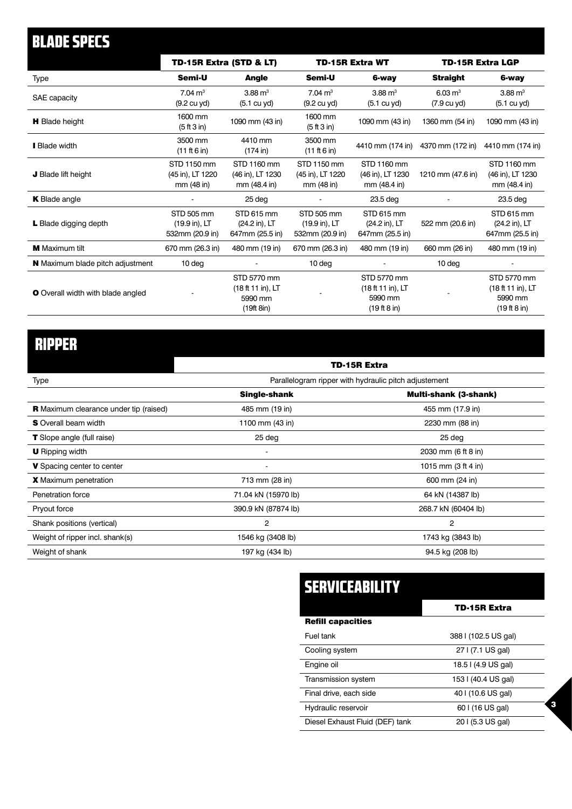| <b>BLADE SPECS</b>                       |                                                           |                                                           |                                                |                                                             |                         |                                                             |
|------------------------------------------|-----------------------------------------------------------|-----------------------------------------------------------|------------------------------------------------|-------------------------------------------------------------|-------------------------|-------------------------------------------------------------|
|                                          | TD-15R Extra (STD & LT)                                   |                                                           | <b>TD-15R Extra WT</b>                         |                                                             | <b>TD-15R Extra LGP</b> |                                                             |
| Type                                     | Semi-U                                                    | <b>Angle</b>                                              | Semi-U                                         | 6-way                                                       | <b>Straight</b>         | 6-way                                                       |
| SAE capacity                             | $7.04 \text{ m}^3$                                        | $3.88 \text{ m}^3$                                        | $7.04 \text{ m}^3$                             | $3.88 \text{ m}^3$                                          | $6.03 \text{ m}^3$      | $3.88 \text{ m}^3$                                          |
|                                          | (9.2 cu yd)                                               | $(5.1 \text{ cu yd})$                                     | $(9.2 \text{ cu yd})$                          | $(5.1 \text{ cu yd})$                                       | $(7.9 \text{ cu yd})$   | (5.1 cu yd)                                                 |
| <b>H</b> Blade height                    | 1600 mm<br>(5 ft 3 in)                                    | 1090 mm (43 in)                                           | 1600 mm<br>(5 ft 3 in)                         | 1090 mm (43 in)                                             | 1360 mm (54 in)         | 1090 mm (43 in)                                             |
| <b>Blade width</b>                       | 3500 mm<br>(11 ft 6 in)                                   | 4410 mm<br>(174 in)                                       | 3500 mm<br>(11 ft 6 in)                        | 4410 mm (174 in)                                            | 4370 mm (172 in)        | 4410 mm (174 in)                                            |
| J Blade lift height                      | STD 1150 mm<br>(45 in), LT 1220<br>mm (48 in)             | STD 1160 mm<br>(46 in), LT 1230<br>mm (48.4 in)           | STD 1150 mm<br>(45 in), LT 1220<br>mm (48 in)  | STD 1160 mm<br>(46 in), LT 1230<br>mm (48.4 in)             | 1210 mm (47.6 in)       | STD 1160 mm<br>(46 in), LT 1230<br>mm (48.4 in)             |
| <b>K</b> Blade angle                     |                                                           | 25 deg                                                    |                                                | 23.5 deg                                                    |                         | 23.5 deg                                                    |
| L Blade digging depth                    | STD 505 mm<br>$(19.9 \text{ in})$ , LT<br>532mm (20.9 in) | STD 615 mm<br>(24.2 in), LT<br>647mm (25.5 in)            | STD 505 mm<br>(19.9 in), LT<br>532mm (20.9 in) | STD 615 mm<br>(24.2 in), LT<br>647mm (25.5 in)              | 522 mm (20.6 in)        | STD 615 mm<br>(24.2 in), LT<br>647mm (25.5 in)              |
| <b>M</b> Maximum tilt                    | 670 mm (26.3 in)                                          | 480 mm (19 in)                                            | 670 mm (26.3 in)                               | 480 mm (19 in)                                              | 660 mm (26 in)          | 480 mm (19 in)                                              |
| <b>N</b> Maximum blade pitch adjustment  | 10 <sub>deg</sub>                                         |                                                           | 10 deg                                         |                                                             | 10 deg                  |                                                             |
| <b>O</b> Overall width with blade angled |                                                           | STD 5770 mm<br>(18 ft 11 in), LT<br>5990 mm<br>(19ft 8in) |                                                | STD 5770 mm<br>(18 ft 11 in), LT<br>5990 mm<br>(19 ft 8 in) |                         | STD 5770 mm<br>(18 ft 11 in), LT<br>5990 mm<br>(19 ft 8 in) |

## RIPPER

| TD-15R Extra                                          |                              |  |
|-------------------------------------------------------|------------------------------|--|
| Parallelogram ripper with hydraulic pitch adjustement |                              |  |
| <b>Single-shank</b>                                   | <b>Multi-shank (3-shank)</b> |  |
| 485 mm (19 in)                                        | 455 mm (17.9 in)             |  |
| 1100 mm (43 in)                                       | 2230 mm (88 in)              |  |
| 25 deg                                                | 25 deg                       |  |
| $\overline{\phantom{a}}$                              | 2030 mm (6 ft 8 in)          |  |
| $\overline{\phantom{a}}$                              | 1015 mm (3 ft 4 in)          |  |
| 713 mm (28 in)                                        | 600 mm (24 in)               |  |
| 71.04 kN (15970 lb)                                   | 64 kN (14387 lb)             |  |
| 390.9 kN (87874 lb)                                   | 268.7 kN (60404 lb)          |  |
| 2                                                     | 2                            |  |
| 1546 kg (3408 lb)                                     | 1743 kg (3843 lb)            |  |
| 197 kg (434 lb)                                       | 94.5 kg (208 lb)             |  |
|                                                       |                              |  |

| SERVICEABILITY                  |                      |
|---------------------------------|----------------------|
|                                 | <b>TD-15R Extra</b>  |
| <b>Refill capacities</b>        |                      |
| Fuel tank                       | 388   (102.5 US gal) |
| Cooling system                  | 27   (7.1 US gal)    |
| Engine oil                      | 18.5   (4.9 US gal)  |
| Transmission system             | 153   (40.4 US gal)  |
| Final drive, each side          | 40   (10.6 US gal)   |
| Hydraulic reservoir             | 60   (16 US gal)     |
| Diesel Exhaust Fluid (DEF) tank | 20   (5.3 US gal)    |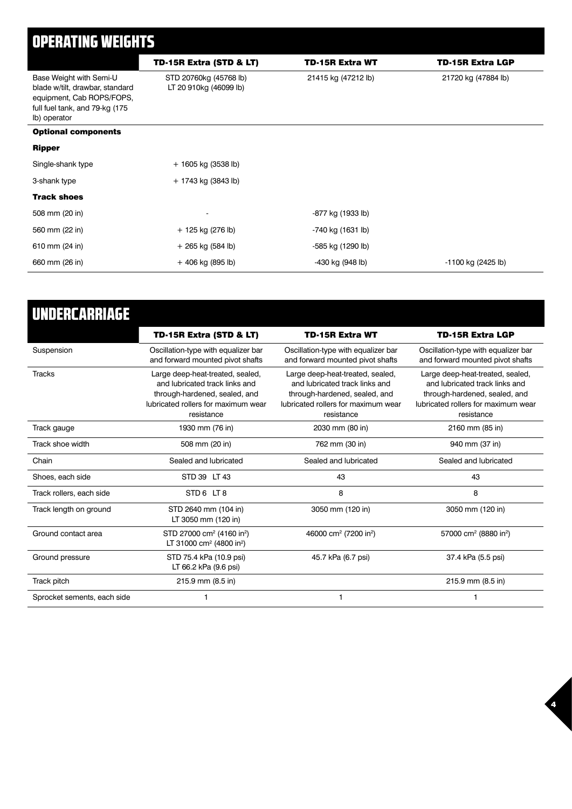### OPERATING WEIGHTS

|                                                                                                                                           | TD-15R Extra (STD & LT)                          | <b>TD-15R Extra WT</b> | <b>TD-15R Extra LGP</b> |
|-------------------------------------------------------------------------------------------------------------------------------------------|--------------------------------------------------|------------------------|-------------------------|
| Base Weight with Semi-U<br>blade w/tilt, drawbar, standard<br>equipment, Cab ROPS/FOPS,<br>full fuel tank, and 79-kg (175<br>lb) operator | STD 20760kg (45768 lb)<br>LT 20 910kg (46099 lb) | 21415 kg (47212 lb)    | 21720 kg (47884 lb)     |
| <b>Optional components</b>                                                                                                                |                                                  |                        |                         |
| <b>Ripper</b>                                                                                                                             |                                                  |                        |                         |
| Single-shank type                                                                                                                         | + 1605 kg (3538 lb)                              |                        |                         |
| 3-shank type                                                                                                                              | + 1743 kg (3843 lb)                              |                        |                         |
| <b>Track shoes</b>                                                                                                                        |                                                  |                        |                         |
| 508 mm (20 in)                                                                                                                            | $\overline{\phantom{a}}$                         | -877 kg (1933 lb)      |                         |
| 560 mm (22 in)                                                                                                                            | + 125 kg (276 lb)                                | -740 kg (1631 lb)      |                         |
| 610 mm (24 in)                                                                                                                            | + 265 kg (584 lb)                                | -585 kg (1290 lb)      |                         |
| 660 mm (26 in)                                                                                                                            | $+406$ kg (895 lb)                               | -430 kg (948 lb)       | -1100 kg (2425 lb)      |

| UNDERCARRIAGE               |                                                                                                                                                          |                                                                                                                                                          |                                                                                                                                                          |
|-----------------------------|----------------------------------------------------------------------------------------------------------------------------------------------------------|----------------------------------------------------------------------------------------------------------------------------------------------------------|----------------------------------------------------------------------------------------------------------------------------------------------------------|
|                             | TD-15R Extra (STD & LT)                                                                                                                                  | <b>TD-15R Extra WT</b>                                                                                                                                   | <b>TD-15R Extra LGP</b>                                                                                                                                  |
| Suspension                  | Oscillation-type with equalizer bar<br>and forward mounted pivot shafts                                                                                  | Oscillation-type with equalizer bar<br>and forward mounted pivot shafts                                                                                  | Oscillation-type with equalizer bar<br>and forward mounted pivot shafts                                                                                  |
| <b>Tracks</b>               | Large deep-heat-treated, sealed,<br>and lubricated track links and<br>through-hardened, sealed, and<br>lubricated rollers for maximum wear<br>resistance | Large deep-heat-treated, sealed,<br>and lubricated track links and<br>through-hardened, sealed, and<br>lubricated rollers for maximum wear<br>resistance | Large deep-heat-treated, sealed,<br>and lubricated track links and<br>through-hardened, sealed, and<br>lubricated rollers for maximum wear<br>resistance |
| Track gauge                 | 1930 mm (76 in)                                                                                                                                          | 2030 mm (80 in)                                                                                                                                          | 2160 mm (85 in)                                                                                                                                          |
| Track shoe width            | 508 mm (20 in)                                                                                                                                           | 762 mm (30 in)                                                                                                                                           | 940 mm (37 in)                                                                                                                                           |
| Chain                       | Sealed and lubricated                                                                                                                                    | Sealed and lubricated                                                                                                                                    | Sealed and lubricated                                                                                                                                    |
| Shoes, each side            | STD 39 LT 43                                                                                                                                             | 43                                                                                                                                                       | 43                                                                                                                                                       |
| Track rollers, each side    | STD6 LT8                                                                                                                                                 | 8                                                                                                                                                        | 8                                                                                                                                                        |
| Track length on ground      | STD 2640 mm (104 in)<br>LT 3050 mm (120 in)                                                                                                              | 3050 mm (120 in)                                                                                                                                         | 3050 mm (120 in)                                                                                                                                         |
| Ground contact area         | STD 27000 cm <sup>2</sup> (4160 in <sup>2</sup> )<br>LT 31000 cm <sup>2</sup> (4800 in <sup>2</sup> )                                                    | 46000 cm <sup>2</sup> (7200 in <sup>2</sup> )                                                                                                            | 57000 cm <sup>2</sup> (8880 in <sup>2</sup> )                                                                                                            |
| Ground pressure             | STD 75.4 kPa (10.9 psi)<br>LT 66.2 kPa (9.6 psi)                                                                                                         | 45.7 kPa (6.7 psi)                                                                                                                                       | 37.4 kPa (5.5 psi)                                                                                                                                       |
| Track pitch                 | 215.9 mm (8.5 in)                                                                                                                                        |                                                                                                                                                          | 215.9 mm (8.5 in)                                                                                                                                        |
| Sprocket sements, each side |                                                                                                                                                          | 1                                                                                                                                                        |                                                                                                                                                          |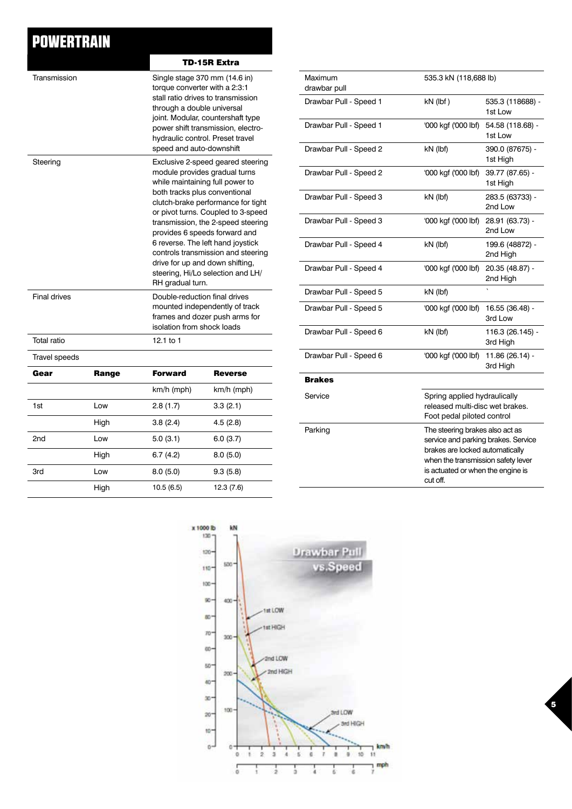### **POWERTRAIN**

|                     |       |                                                                                         | TD-15R Extra                                                                                                                                                                                                                                                                                                                                                                                                                                 |  |  |
|---------------------|-------|-----------------------------------------------------------------------------------------|----------------------------------------------------------------------------------------------------------------------------------------------------------------------------------------------------------------------------------------------------------------------------------------------------------------------------------------------------------------------------------------------------------------------------------------------|--|--|
| Transmission        |       | torque converter with a 2:3:1<br>through a double universal<br>speed and auto-downshift | Single stage 370 mm (14.6 in)<br>stall ratio drives to transmission<br>joint. Modular, countershaft type<br>power shift transmission, electro-<br>hydraulic control. Preset travel                                                                                                                                                                                                                                                           |  |  |
| Steering            |       | RH gradual turn.                                                                        | Exclusive 2-speed geared steering<br>module provides gradual turns<br>while maintaining full power to<br>both tracks plus conventional<br>clutch-brake performance for tight<br>or pivot turns. Coupled to 3-speed<br>transmission, the 2-speed steering<br>provides 6 speeds forward and<br>6 reverse. The left hand joystick<br>controls transmission and steering<br>drive for up and down shifting,<br>steering, Hi/Lo selection and LH/ |  |  |
| <b>Final drives</b> |       | Double-reduction final drives<br>isolation from shock loads                             | mounted independently of track<br>frames and dozer push arms for                                                                                                                                                                                                                                                                                                                                                                             |  |  |
| Total ratio         |       | 12.1 to 1                                                                               |                                                                                                                                                                                                                                                                                                                                                                                                                                              |  |  |
| Travel speeds       |       |                                                                                         |                                                                                                                                                                                                                                                                                                                                                                                                                                              |  |  |
| Gear                | Range | <b>Forward</b>                                                                          | <b>Reverse</b>                                                                                                                                                                                                                                                                                                                                                                                                                               |  |  |
|                     |       | km/h (mph)                                                                              | km/h (mph)                                                                                                                                                                                                                                                                                                                                                                                                                                   |  |  |
| 1st                 | Low   | 2.8(1.7)                                                                                | 3.3(2.1)                                                                                                                                                                                                                                                                                                                                                                                                                                     |  |  |
|                     | High  | 3.8(2.4)                                                                                | 4.5(2.8)                                                                                                                                                                                                                                                                                                                                                                                                                                     |  |  |
| 2nd                 | Low   | 5.0(3.1)                                                                                | 6.0(3.7)                                                                                                                                                                                                                                                                                                                                                                                                                                     |  |  |
|                     | High  | 6.7(4.2)                                                                                | 8.0(5.0)                                                                                                                                                                                                                                                                                                                                                                                                                                     |  |  |
| 3rd                 | Low   | 8.0(5.0)                                                                                | 9.3(5.8)                                                                                                                                                                                                                                                                                                                                                                                                                                     |  |  |
|                     | High  | 10.5(6.5)                                                                               | 12.3 (7.6)                                                                                                                                                                                                                                                                                                                                                                                                                                   |  |  |

| Maximum<br>drawbar pull | 535.3 kN (118,688 lb)                                                                                                                                                                            |                              |
|-------------------------|--------------------------------------------------------------------------------------------------------------------------------------------------------------------------------------------------|------------------------------|
| Drawbar Pull - Speed 1  | $kN$ (lbf)                                                                                                                                                                                       | 535.3 (118688) -<br>1st Low  |
| Drawbar Pull - Speed 1  | '000 kgf ('000 lbf)                                                                                                                                                                              | 54.58 (118.68) -<br>1st Low  |
| Drawbar Pull - Speed 2  | kN (lbf)                                                                                                                                                                                         | 390.0 (87675) -<br>1st High  |
| Drawbar Pull - Speed 2  | '000 kgf ('000 lbf)                                                                                                                                                                              | 39.77 (87.65) -<br>1st High  |
| Drawbar Pull - Speed 3  | kN (lbf)                                                                                                                                                                                         | 283.5 (63733) -<br>2nd Low   |
| Drawbar Pull - Speed 3  | '000 kgf ('000 lbf)                                                                                                                                                                              | 28.91 (63.73) -<br>2nd Low   |
| Drawbar Pull - Speed 4  | kN (lbf)                                                                                                                                                                                         | 199.6 (48872) -<br>2nd High  |
| Drawbar Pull - Speed 4  | '000 kgf ('000 lbf)                                                                                                                                                                              | 20.35 (48.87) -<br>2nd High  |
| Drawbar Pull - Speed 5  | kN (lbf)                                                                                                                                                                                         |                              |
| Drawbar Pull - Speed 5  | '000 kgf ('000 lbf)                                                                                                                                                                              | 16.55 (36.48) -<br>3rd Low   |
| Drawbar Pull - Speed 6  | kN (lbf)                                                                                                                                                                                         | 116.3 (26.145) -<br>3rd High |
| Drawbar Pull - Speed 6  | '000 kgf ('000 lbf)                                                                                                                                                                              | 11.86 (26.14) -<br>3rd High  |
| <b>Brakes</b>           |                                                                                                                                                                                                  |                              |
| Service                 | Spring applied hydraulically<br>released multi-disc wet brakes.<br>Foot pedal piloted control                                                                                                    |                              |
| Parking                 | The steering brakes also act as<br>service and parking brakes. Service<br>brakes are locked automatically<br>when the transmission safety lever<br>is actuated or when the engine is<br>cut off. |                              |

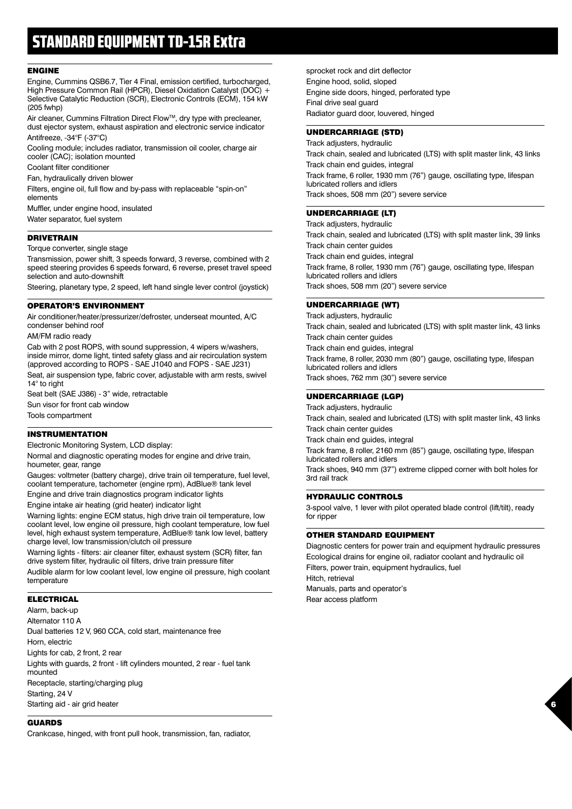### STANDARD EQUIPMENT TD-15R Extra

#### ENGINE

Engine, Cummins QSB6.7, Tier 4 Final, emission certified, turbocharged, High Pressure Common Rail (HPCR), Diesel Oxidation Catalyst (DOC) + Selective Catalytic Reduction (SCR), Electronic Controls (ECM), 154 kW (205 fwhp)

Air cleaner, Cummins Filtration Direct Flow™, dry type with precleaner, dust ejector system, exhaust aspiration and electronic service indicator Antifreeze, -34°F (-37°C)

Cooling module; includes radiator, transmission oil cooler, charge air cooler (CAC); isolation mounted

Coolant filter conditioner

Fan, hydraulically driven blower

Filters, engine oil, full flow and by-pass with replaceable "spin-on" elements

Muffler, under engine hood, insulated

Water separator, fuel system

#### DRIVETRAIN

#### Torque converter, single stage

Transmission, power shift, 3 speeds forward, 3 reverse, combined with 2 speed steering provides 6 speeds forward, 6 reverse, preset travel speed selection and auto-downshift

Steering, planetary type, 2 speed, left hand single lever control (joystick)

#### OPERATOR'S ENVIRONMENT

Air conditioner/heater/pressurizer/defroster, underseat mounted, A/C condenser behind roof

AM/FM radio ready

Cab with 2 post ROPS, with sound suppression, 4 wipers w/washers, inside mirror, dome light, tinted safety glass and air recirculation system (approved according to ROPS - SAE J1040 and FOPS - SAE J231)

Seat, air suspension type, fabric cover, adjustable with arm rests, swivel 14° to right

Seat belt (SAE J386) - 3" wide, retractable

Sun visor for front cab window

Tools compartment

#### INSTRUMENTATION

Electronic Monitoring System, LCD display:

Normal and diagnostic operating modes for engine and drive train, houmeter, gear, range

Gauges: voltmeter (battery charge), drive train oil temperature, fuel level, coolant temperature, tachometer (engine rpm), AdBlue® tank level

Engine and drive train diagnostics program indicator lights

Engine intake air heating (grid heater) indicator light

Warning lights: engine ECM status, high drive train oil temperature, low coolant level, low engine oil pressure, high coolant temperature, low fuel level, high exhaust system temperature, AdBlue® tank low level, battery charge level, low transmission/clutch oil pressure

Warning lights - filters: air cleaner filter, exhaust system (SCR) filter, fan drive system filter, hydraulic oil filters, drive train pressure filter

Audible alarm for low coolant level, low engine oil pressure, high coolant temperature

#### ELECTRICAL

Alarm, back-up Alternator 110 A Dual batteries 12 V, 960 CCA, cold start, maintenance free Horn, electric Lights for cab, 2 front, 2 rear Lights with guards, 2 front - lift cylinders mounted, 2 rear - fuel tank mounted Receptacle, starting/charging plug Starting, 24 V Starting aid - air grid heater

#### GUARDS

Crankcase, hinged, with front pull hook, transmission, fan, radiator,

sprocket rock and dirt deflector Engine hood, solid, sloped Engine side doors, hinged, perforated type Final drive seal guard Radiator guard door, louvered, hinged

#### UNDERCARRIAGE (STD)

Track adjusters, hydraulic Track chain, sealed and lubricated (LTS) with split master link, 43 links Track chain end guides, integral Track frame, 6 roller, 1930 mm (76") gauge, oscillating type, lifespan lubricated rollers and idlers Track shoes, 508 mm (20") severe service

#### UNDERCARRIAGE (LT)

Track adjusters, hydraulic Track chain, sealed and lubricated (LTS) with split master link, 39 links Track chain center guides Track chain end guides, integral Track frame, 8 roller, 1930 mm (76") gauge, oscillating type, lifespan lubricated rollers and idlers Track shoes, 508 mm (20") severe service

#### UNDERCARRIAGE (WT)

Track adjusters, hydraulic Track chain, sealed and lubricated (LTS) with split master link, 43 links Track chain center guides Track chain end guides, integral Track frame, 8 roller, 2030 mm (80") gauge, oscillating type, lifespan lubricated rollers and idlers Track shoes, 762 mm (30") severe service

#### UNDERCARRIAGE (LGP)

Track adjusters, hydraulic Track chain, sealed and lubricated (LTS) with split master link, 43 links Track chain center guides Track chain end guides, integral Track frame, 8 roller, 2160 mm (85") gauge, oscillating type, lifespan lubricated rollers and idlers

Track shoes, 940 mm (37") extreme clipped corner with bolt holes for 3rd rail track

#### HYDRAULIC CONTROLS

3-spool valve, 1 lever with pilot operated blade control (lift/tilt), ready for ripper

#### OTHER STANDARD EQUIPMENT

Diagnostic centers for power train and equipment hydraulic pressures Ecological drains for engine oil, radiator coolant and hydraulic oil Filters, power train, equipment hydraulics, fuel Hitch, retrieval Manuals, parts and operator's Rear access platform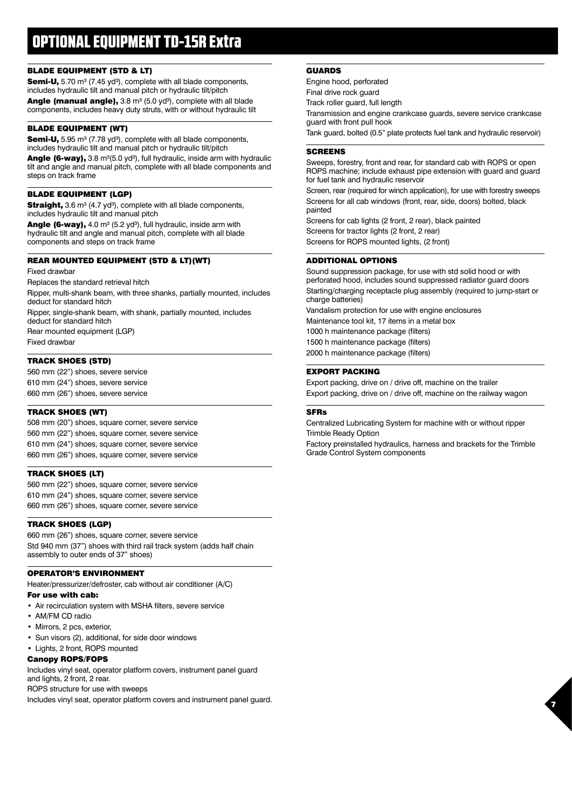### OPTIONAL EQUIPMENT TD-15R Extra

#### BLADE EQUIPMENT (STD & LT)

Semi-U, 5.70 m<sup>3</sup> (7.45 yd<sup>3</sup>), complete with all blade components, includes hydraulic tilt and manual pitch or hydraulic tilt/pitch

**Angle (manual angle),**  $3.8 \text{ m}^3$  ( $5.0 \text{ yd}^3$ ), complete with all blade components, includes heavy duty struts, with or without hydraulic tilt

#### BLADE EQUIPMENT (WT)

Semi-U, 5.95 m<sup>3</sup> (7.78 yd<sup>3</sup>), complete with all blade components, includes hydraulic tilt and manual pitch or hydraulic tilt/pitch

Angle (6-way), 3.8 m<sup>3</sup>(5.0 yd<sup>3</sup>), full hydraulic, inside arm with hydraulic tilt and angle and manual pitch, complete with all blade components and steps on track frame

#### BLADE EQUIPMENT (LGP)

Straight, 3.6 m<sup>3</sup> (4.7 yd<sup>3</sup>), complete with all blade components, includes hydraulic tilt and manual pitch

Angle (6-way), 4.0 m<sup>3</sup> (5.2 yd<sup>3</sup>), full hydraulic, inside arm with hydraulic tilt and angle and manual pitch, complete with all blade components and steps on track frame

#### REAR MOUNTED EQUIPMENT (STD & LT)(WT)

Fixed drawbar

Replaces the standard retrieval hitch

Ripper, multi-shank beam, with three shanks, partially mounted, includes deduct for standard hitch

Ripper, single-shank beam, with shank, partially mounted, includes deduct for standard hitch

Rear mounted equipment (LGP)

Fixed drawbar

#### TRACK SHOES (STD)

560 mm (22") shoes, severe service 610 mm (24") shoes, severe service 660 mm (26") shoes, severe service

#### TRACK SHOES (WT)

508 mm (20") shoes, square corner, severe service 560 mm (22") shoes, square corner, severe service 610 mm (24") shoes, square corner, severe service 660 mm (26") shoes, square corner, severe service

#### TRACK SHOES (LT)

560 mm (22") shoes, square corner, severe service 610 mm (24") shoes, square corner, severe service 660 mm (26") shoes, square corner, severe service

#### TRACK SHOES (LGP)

660 mm (26") shoes, square corner, severe service Std 940 mm (37") shoes with third rail track system (adds half chain assembly to outer ends of 37" shoes)

#### OPERATOR'S ENVIRONMENT

Heater/pressurizer/defroster, cab without air conditioner (A/C)

#### For use with cab:

- Air recirculation system with MSHA filters, severe service
- AM/FM CD radio
- Mirrors, 2 pcs, exterior,
- Sun visors (2), additional, for side door windows
- Lights, 2 front, ROPS mounted

#### Canopy ROPS/FOPS

Includes vinyl seat, operator platform covers, instrument panel guard and lights, 2 front, 2 rear.

ROPS structure for use with sweeps

Includes vinyl seat, operator platform covers and instrument panel guard.

#### GUARDS

Engine hood, perforated

Final drive rock guard

Track roller guard, full length

Transmission and engine crankcase guards, severe service crankcase guard with front pull hook

Tank guard, bolted (0.5" plate protects fuel tank and hydraulic reservoir)

#### **SCREENS**

Sweeps, forestry, front and rear, for standard cab with ROPS or open ROPS machine; include exhaust pipe extension with guard and guard for fuel tank and hydraulic reservoir

Screen, rear (required for winch application), for use with forestry sweeps Screens for all cab windows (front, rear, side, doors) bolted, black painted

Screens for cab lights (2 front, 2 rear), black painted Screens for tractor lights (2 front, 2 rear) Screens for ROPS mounted lights, (2 front)

#### ADDITIONAL OPTIONS

Sound suppression package, for use with std solid hood or with perforated hood, includes sound suppressed radiator guard doors Starting/charging receptacle plug assembly (required to jump-start or charge batteries) Vandalism protection for use with engine enclosures

Maintenance tool kit, 17 items in a metal box 1000 h maintenance package (filters)

1500 h maintenance package (filters)

2000 h maintenance package (filters)

#### EXPORT PACKING

Export packing, drive on / drive off, machine on the trailer Export packing, drive on / drive off, machine on the railway wagon

#### SFRs

Centralized Lubricating System for machine with or without ripper Trimble Ready Option

Factory preinstalled hydraulics, harness and brackets for the Trimble Grade Control System components